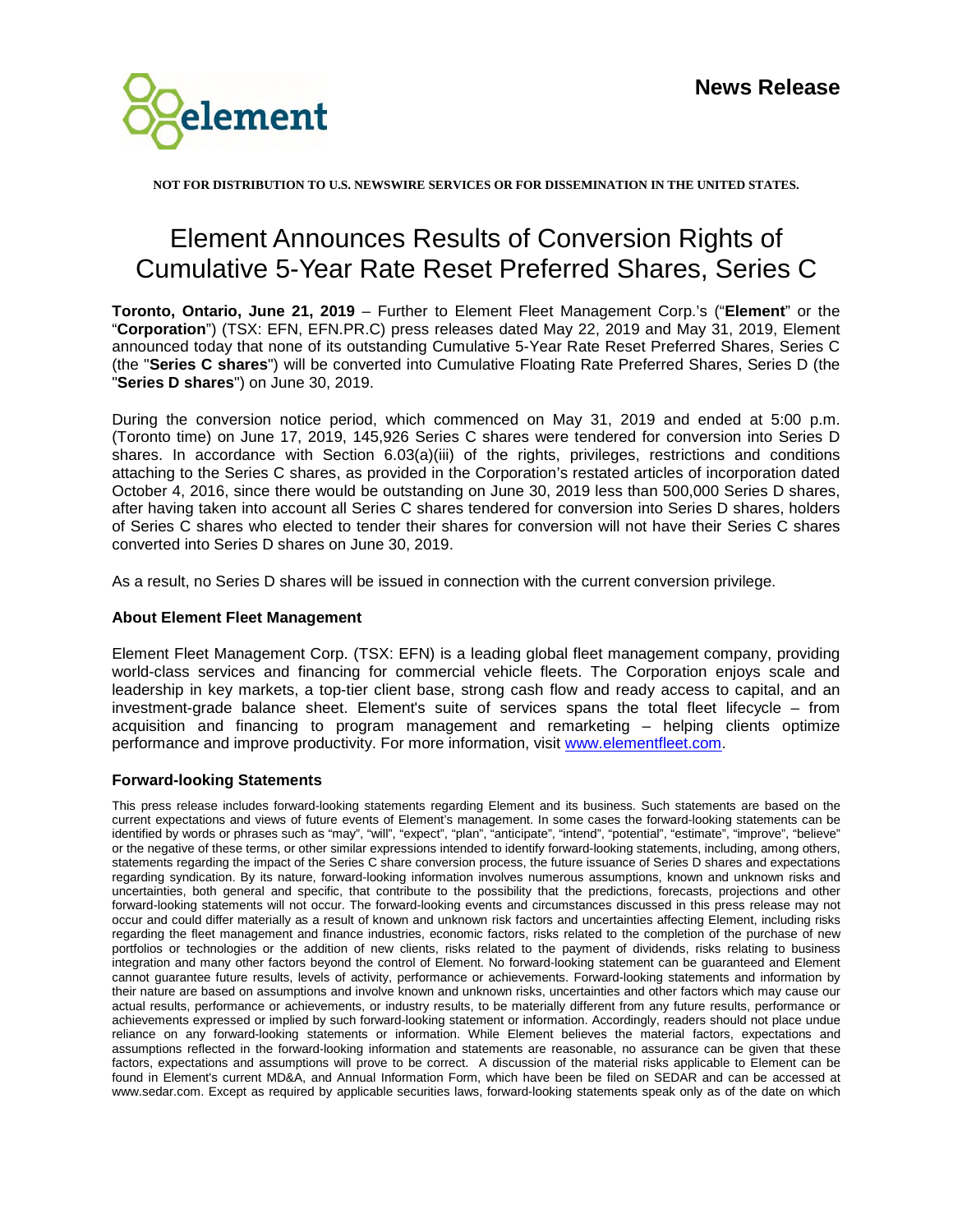

**NOT FOR DISTRIBUTION TO U.S. NEWSWIRE SERVICES OR FOR DISSEMINATION IN THE UNITED STATES.** 

## Element Announces Results of Conversion Rights of Cumulative 5-Year Rate Reset Preferred Shares, Series C

**Toronto, Ontario, June 21, 2019** – Further to Element Fleet Management Corp.'s ("**Element**" or the "**Corporation**") (TSX: EFN, EFN.PR.C) press releases dated May 22, 2019 and May 31, 2019, Element announced today that none of its outstanding Cumulative 5-Year Rate Reset Preferred Shares, Series C (the "**Series C shares**") will be converted into Cumulative Floating Rate Preferred Shares, Series D (the "**Series D shares**") on June 30, 2019.

During the conversion notice period, which commenced on May 31, 2019 and ended at 5:00 p.m. (Toronto time) on June 17, 2019, 145,926 Series C shares were tendered for conversion into Series D shares. In accordance with Section 6.03(a)(iii) of the rights, privileges, restrictions and conditions attaching to the Series C shares, as provided in the Corporation's restated articles of incorporation dated October 4, 2016, since there would be outstanding on June 30, 2019 less than 500,000 Series D shares, after having taken into account all Series C shares tendered for conversion into Series D shares, holders of Series C shares who elected to tender their shares for conversion will not have their Series C shares converted into Series D shares on June 30, 2019.

As a result, no Series D shares will be issued in connection with the current conversion privilege.

## **About Element Fleet Management**

Element Fleet Management Corp. (TSX: EFN) is a leading global fleet management company, providing world-class services and financing for commercial vehicle fleets. The Corporation enjoys scale and leadership in key markets, a top-tier client base, strong cash flow and ready access to capital, and an investment-grade balance sheet. Element's suite of services spans the total fleet lifecycle – from acquisition and financing to program management and remarketing – helping clients optimize performance and improve productivity. For more information, visit www.elementfleet.com.

## **Forward-looking Statements**

This press release includes forward-looking statements regarding Element and its business. Such statements are based on the current expectations and views of future events of Element's management. In some cases the forward-looking statements can be identified by words or phrases such as "may", "will", "expect", "plan", "anticipate", "intend", "potential", "estimate", "improve", "believe" or the negative of these terms, or other similar expressions intended to identify forward-looking statements, including, among others, statements regarding the impact of the Series C share conversion process, the future issuance of Series D shares and expectations regarding syndication. By its nature, forward-looking information involves numerous assumptions, known and unknown risks and uncertainties, both general and specific, that contribute to the possibility that the predictions, forecasts, projections and other forward-looking statements will not occur. The forward-looking events and circumstances discussed in this press release may not occur and could differ materially as a result of known and unknown risk factors and uncertainties affecting Element, including risks regarding the fleet management and finance industries, economic factors, risks related to the completion of the purchase of new portfolios or technologies or the addition of new clients, risks related to the payment of dividends, risks relating to business integration and many other factors beyond the control of Element. No forward-looking statement can be guaranteed and Element cannot guarantee future results, levels of activity, performance or achievements. Forward-looking statements and information by their nature are based on assumptions and involve known and unknown risks, uncertainties and other factors which may cause our actual results, performance or achievements, or industry results, to be materially different from any future results, performance or achievements expressed or implied by such forward-looking statement or information. Accordingly, readers should not place undue reliance on any forward-looking statements or information. While Element believes the material factors, expectations and assumptions reflected in the forward-looking information and statements are reasonable, no assurance can be given that these factors, expectations and assumptions will prove to be correct. A discussion of the material risks applicable to Element can be found in Element's current MD&A, and Annual Information Form, which have been be filed on SEDAR and can be accessed at www.sedar.com. Except as required by applicable securities laws, forward-looking statements speak only as of the date on which